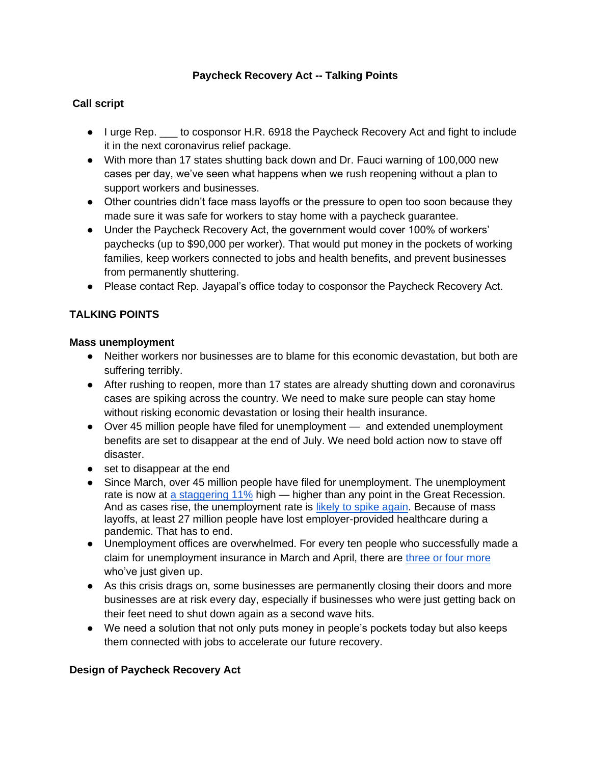#### **Paycheck Recovery Act -- Talking Points**

## **Call script**

- I urge Rep.  $_$ to cosponsor H.R. 6918 the Paycheck Recovery Act and fight to include it in the next coronavirus relief package.
- With more than 17 states shutting back down and Dr. Fauci warning of 100,000 new cases per day, we've seen what happens when we rush reopening without a plan to support workers and businesses.
- Other countries didn't face mass layoffs or the pressure to open too soon because they made sure it was safe for workers to stay home with a paycheck guarantee.
- Under the Paycheck Recovery Act, the government would cover 100% of workers' paychecks (up to \$90,000 per worker). That would put money in the pockets of working families, keep workers connected to jobs and health benefits, and prevent businesses from permanently shuttering.
- Please contact Rep. Jayapal's office today to cosponsor the Paycheck Recovery Act.

## **TALKING POINTS**

#### **Mass unemployment**

- Neither workers nor businesses are to blame for this economic devastation, but both are suffering terribly.
- After rushing to reopen, more than 17 states are already shutting down and coronavirus cases are spiking across the country. We need to make sure people can stay home without risking economic devastation or losing their health insurance.
- Over 45 million people have filed for unemployment and extended unemployment benefits are set to disappear at the end of July. We need bold action now to stave off disaster.
- set to disappear at the end
- Since March, over 45 million people have filed for unemployment. The unemployment rate is now at [a staggering 11%](https://www.washingtonpost.com/business/2020/07/02/june-2020-jobs-report/?arc404=true) high — higher than any point in the Great Recession. And as cases rise, the unemployment rate is [likely to spike again.](https://www.washingtonpost.com/business/2020/07/02/june-2020-jobs-report/?arc404=true) Because of mass layoffs, at least 27 million people have lost employer-provided healthcare during a pandemic. That has to end.
- Unemployment offices are overwhelmed. For every ten people who successfully made a claim for unemployment insurance in March and April, there are [three or four more](https://www.epi.org/blog/unemployment-filing-failures-new-survey-confirms-that-millions-of-jobless-were-unable-to-file-an-unemployment-insurance-claim/) who've just given up.
- As this crisis drags on, some businesses are permanently closing their doors and more businesses are at risk every day, especially if businesses who were just getting back on their feet need to shut down again as a second wave hits.
- We need a solution that not only puts money in people's pockets today but also keeps them connected with jobs to accelerate our future recovery.

#### **Design of Paycheck Recovery Act**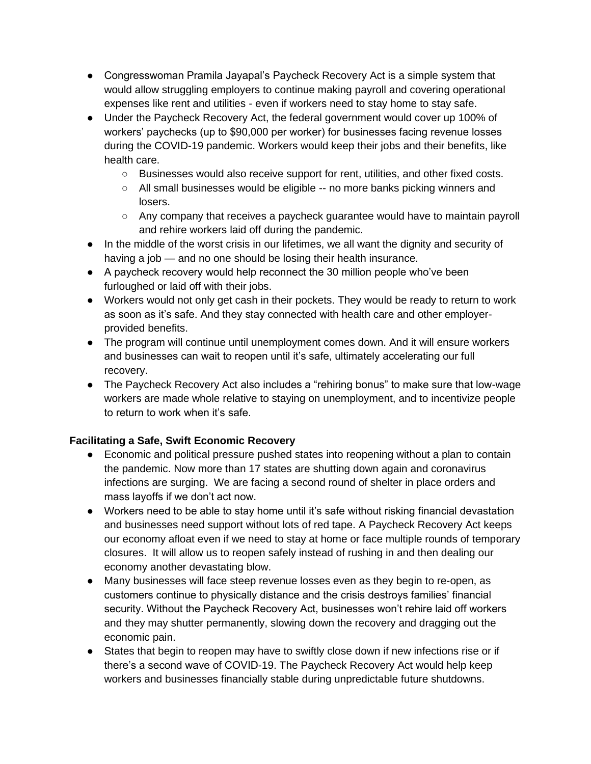- Congresswoman Pramila Jayapal's Paycheck Recovery Act is a simple system that would allow struggling employers to continue making payroll and covering operational expenses like rent and utilities - even if workers need to stay home to stay safe.
- Under the Paycheck Recovery Act, the federal government would cover up 100% of workers' paychecks (up to \$90,000 per worker) for businesses facing revenue losses during the COVID-19 pandemic. Workers would keep their jobs and their benefits, like health care.
	- Businesses would also receive support for rent, utilities, and other fixed costs.
	- All small businesses would be eligible -- no more banks picking winners and losers.
	- Any company that receives a paycheck guarantee would have to maintain payroll and rehire workers laid off during the pandemic.
- In the middle of the worst crisis in our lifetimes, we all want the dignity and security of having a job — and no one should be losing their health insurance.
- A paycheck recovery would help reconnect the 30 million people who've been furloughed or laid off with their jobs.
- Workers would not only get cash in their pockets. They would be ready to return to work as soon as it's safe. And they stay connected with health care and other employerprovided benefits.
- The program will continue until unemployment comes down. And it will ensure workers and businesses can wait to reopen until it's safe, ultimately accelerating our full recovery.
- The Paycheck Recovery Act also includes a "rehiring bonus" to make sure that low-wage workers are made whole relative to staying on unemployment, and to incentivize people to return to work when it's safe.

## **Facilitating a Safe, Swift Economic Recovery**

- Economic and political pressure pushed states into reopening without a plan to contain the pandemic. Now more than 17 states are shutting down again and coronavirus infections are surging. We are facing a second round of shelter in place orders and mass layoffs if we don't act now.
- Workers need to be able to stay home until it's safe without risking financial devastation and businesses need support without lots of red tape. A Paycheck Recovery Act keeps our economy afloat even if we need to stay at home or face multiple rounds of temporary closures. It will allow us to reopen safely instead of rushing in and then dealing our economy another devastating blow.
- Many businesses will face steep revenue losses even as they begin to re-open, as customers continue to physically distance and the crisis destroys families' financial security. Without the Paycheck Recovery Act, businesses won't rehire laid off workers and they may shutter permanently, slowing down the recovery and dragging out the economic pain.
- States that begin to reopen may have to swiftly close down if new infections rise or if there's a second wave of COVID-19. The Paycheck Recovery Act would help keep workers and businesses financially stable during unpredictable future shutdowns.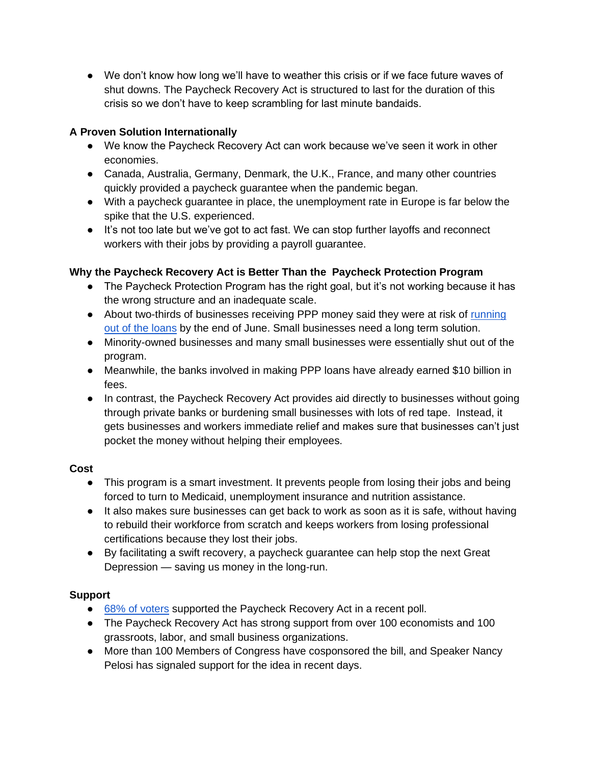● We don't know how long we'll have to weather this crisis or if we face future waves of shut downs. The Paycheck Recovery Act is structured to last for the duration of this crisis so we don't have to keep scrambling for last minute bandaids.

## **A Proven Solution Internationally**

- We know the Paycheck Recovery Act can work because we've seen it work in other economies.
- Canada, Australia, Germany, Denmark, the U.K., France, and many other countries quickly provided a paycheck guarantee when the pandemic began.
- With a paycheck guarantee in place, the unemployment rate in Europe is far below the spike that the U.S. experienced.
- It's not too late but we've got to act fast. We can stop further layoffs and reconnect workers with their jobs by providing a payroll guarantee.

## **Why the Paycheck Recovery Act is Better Than the Paycheck Protection Program**

- The Paycheck Protection Program has the right goal, but it's not working because it has the wrong structure and an inadequate scale.
- About two-thirds of businesses receiving PPP money said they were at risk of running [out of the loans](https://www.latimes.com/politics/story/2020-06-18/governments-forgivable-loans-helped-save-millions-of-jobs-but-money-is-running-out-for-many) by the end of June. Small businesses need a long term solution.
- Minority-owned businesses and many small businesses were essentially shut out of the program.
- Meanwhile, the banks involved in making PPP loans have already earned \$10 billion in fees.
- In contrast, the Paycheck Recovery Act provides aid directly to businesses without going through private banks or burdening small businesses with lots of red tape. Instead, it gets businesses and workers immediate relief and makes sure that businesses can't just pocket the money without helping their employees.

## **Cost**

- This program is a smart investment. It prevents people from losing their jobs and being forced to turn to Medicaid, unemployment insurance and nutrition assistance.
- It also makes sure businesses can get back to work as soon as it is safe, without having to rebuild their workforce from scratch and keeps workers from losing professional certifications because they lost their jobs.
- By facilitating a swift recovery, a paycheck guarantee can help stop the next Great Depression — saving us money in the long-run.

# **Support**

- [68% of voters](http://filesforprogress.org/memos/concern-over-the-coronavirus-pandemic-remains-high-voters-support-continued-economic-relief.pdf) supported the Paycheck Recovery Act in a recent poll.
- The Paycheck Recovery Act has strong support from over 100 economists and 100 grassroots, labor, and small business organizations.
- More than 100 Members of Congress have cosponsored the bill, and Speaker Nancy Pelosi has signaled support for the idea in recent days.